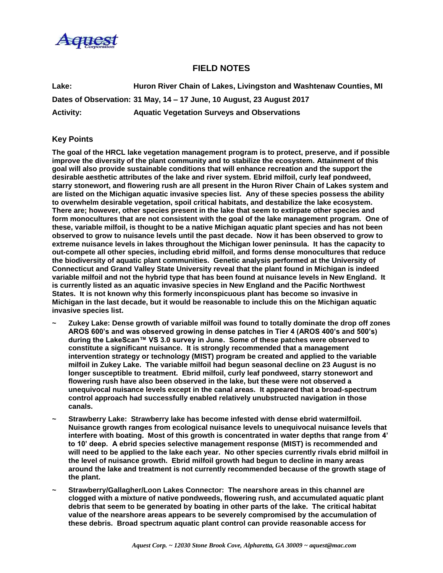

## **FIELD NOTES**

**Lake: Huron River Chain of Lakes, Livingston and Washtenaw Counties, MI Dates of Observation: 31 May, 14 – 17 June, 10 August, 23 August 2017 Activity: Aquatic Vegetation Surveys and Observations**

## **Key Points**

**The goal of the HRCL lake vegetation management program is to protect, preserve, and if possible improve the diversity of the plant community and to stabilize the ecosystem. Attainment of this goal will also provide sustainable conditions that will enhance recreation and the support the desirable aesthetic attributes of the lake and river system. Ebrid milfoil, curly leaf pondweed, starry stonewort, and flowering rush are all present in the Huron River Chain of Lakes system and are listed on the Michigan aquatic invasive species list. Any of these species possess the ability to overwhelm desirable vegetation, spoil critical habitats, and destabilize the lake ecosystem. There are; however, other species present in the lake that seem to extirpate other species and form monocultures that are not consistent with the goal of the lake management program. One of these, variable milfoil, is thought to be a native Michigan aquatic plant species and has not been observed to grow to nuisance levels until the past decade. Now it has been observed to grow to extreme nuisance levels in lakes throughout the Michigan lower peninsula. It has the capacity to out-compete all other species, including ebrid milfoil, and forms dense monocultures that reduce the biodiversity of aquatic plant communities. Genetic analysis performed at the University of Connecticut and Grand Valley State University reveal that the plant found in Michigan is indeed variable milfoil and not the hybrid type that has been found at nuisance levels in New England. It is currently listed as an aquatic invasive species in New England and the Pacific Northwest States. It is not known why this formerly inconspicuous plant has become so invasive in Michigan in the last decade, but it would be reasonable to include this on the Michigan aquatic invasive species list.**

- **~ Zukey Lake: Dense growth of variable milfoil was found to totally dominate the drop off zones AROS 600's and was observed growing in dense patches in Tier 4 (AROS 400's and 500's) during the LakeScan™ VS 3.0 survey in June. Some of these patches were observed to constitute a significant nuisance. It is strongly recommended that a management intervention strategy or technology (MIST) program be created and applied to the variable milfoil in Zukey Lake. The variable milfoil had begun seasonal decline on 23 August is no longer susceptible to treatment. Ebrid milfoil, curly leaf pondweed, starry stonewort and flowering rush have also been observed in the lake, but these were not observed a unequivocal nuisance levels except in the canal areas. It appeared that a broad-spectrum control approach had successfully enabled relatively unubstructed navigation in those canals.**
- **~ Strawberry Lake: Strawberry lake has become infested with dense ebrid watermilfoil. Nuisance growth ranges from ecological nuisance levels to unequivocal nuisance levels that interfere with boating. Most of this growth is concentrated in water depths that range from 4' to 10' deep. A ebrid species selective management response (MIST) is recommended and will need to be applied to the lake each year. No other species currently rivals ebrid milfoil in the level of nuisance growth. Ebrid milfoil growth had begun to decline in many areas around the lake and treatment is not currently recommended because of the growth stage of the plant.**
- **~ Strawberry/Gallagher/Loon Lakes Connector: The nearshore areas in this channel are clogged with a mixture of native pondweeds, flowering rush, and accumulated aquatic plant debris that seem to be generated by boating in other parts of the lake. The critical habitat value of the nearshore areas appears to be severely compromised by the accumulation of these debris. Broad spectrum aquatic plant control can provide reasonable access for**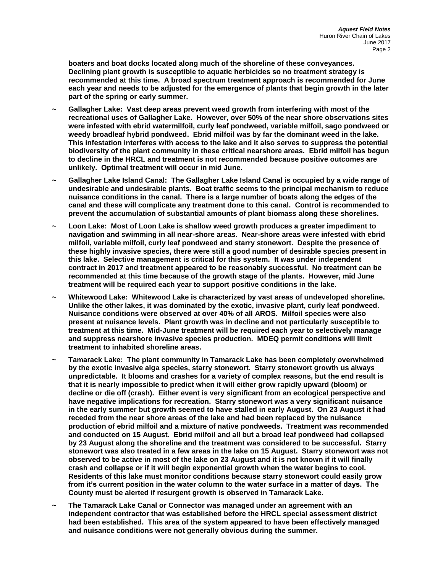**boaters and boat docks located along much of the shoreline of these conveyances. Declining plant growth is susceptible to aquatic herbicides so no treatment strategy is recommended at this time. A broad spectrum treatment approach is recommended for June each year and needs to be adjusted for the emergence of plants that begin growth in the later part of the spring or early summer.**

- **~ Gallagher Lake: Vast deep areas prevent weed growth from interfering with most of the recreational uses of Gallagher Lake. However, over 50% of the near shore observations sites were infested with ebrid watermilfoil, curly leaf pondweed, variable milfoil, sago pondweed or weedy broadleaf hybrid pondweed. Ebrid milfoil was by far the dominant weed in the lake. This infestation interferes with access to the lake and it also serves to suppress the potential biodiversity of the plant community in these critical nearshore areas. Ebrid milfoil has begun to decline in the HRCL and treatment is not recommended because positive outcomes are unlikely. Optimal treatment will occur in mid June.**
- **~ Gallagher Lake Island Canal: The Gallagher Lake Island Canal is occupied by a wide range of undesirable and undesirable plants. Boat traffic seems to the principal mechanism to reduce nuisance conditions in the canal. There is a large number of boats along the edges of the canal and these will complicate any treatment done to this canal. Control is recommended to prevent the accumulation of substantial amounts of plant biomass along these shorelines.**
- **~ Loon Lake: Most of Loon Lake is shallow weed growth produces a greater impediment to navigation and swimming in all near-shore areas. Near-shore areas were infested with ebrid milfoil, variable milfoil, curly leaf pondweed and starry stonewort. Despite the presence of these highly invasive species, there were still a good number of desirable species present in this lake. Selective management is critical for this system. It was under independent contract in 2017 and treatment appeared to be reasonably successful. No treatment can be recommended at this time because of the growth stage of the plants. However, mid June treatment will be required each year to support positive conditions in the lake.**
- **~ Whitewood Lake: Whitewood Lake is characterized by vast areas of undeveloped shoreline. Unlike the other lakes, it was dominated by the exotic, invasive plant, curly leaf pondweed. Nuisance conditions were observed at over 40% of all AROS. Milfoil species were also present at nuisance levels. Plant growth was in decline and not particularly susceptible to treatment at this time. Mid-June treatment will be required each year to selectively manage and suppress nearshore invasive species production. MDEQ permit conditions will limit treatment to inhabited shoreline areas.**
- **~ Tamarack Lake: The plant community in Tamarack Lake has been completely overwhelmed by the exotic invasive alga species, starry stonewort. Starry stonewort growth us always unpredictable. It blooms and crashes for a variety of complex reasons, but the end result is that it is nearly impossible to predict when it will either grow rapidly upward (bloom) or decline or die off (crash). Either event is very significant from an ecological perspective and have negative implications for recreation. Starry stonewort was a very significant nuisance in the early summer but growth seemed to have stalled in early August. On 23 August it had receded from the near shore areas of the lake and had been replaced by the nuisance production of ebrid milfoil and a mixture of native pondweeds. Treatment was recommended and conducted on 15 August. Ebrid milfoil and all but a broad leaf pondweed had collapsed by 23 August along the shoreline and the treatment was considered to be successful. Starry stonewort was also treated in a few areas in the lake on 15 August. Starry stonewort was not observed to be active in most of the lake on 23 August and it is not known if it will finally crash and collapse or if it will begin exponential growth when the water begins to cool. Residents of this lake must monitor conditions because starry stonewort could easily grow from it's current position in the water column to the water surface in a matter of days. The County must be alerted if resurgent growth is observed in Tamarack Lake.**
- **~ The Tamarack Lake Canal or Connector was managed under an agreement with an independent contractor that was established before the HRCL special assessment district had been established. This area of the system appeared to have been effectively managed and nuisance conditions were not generally obvious during the summer.**